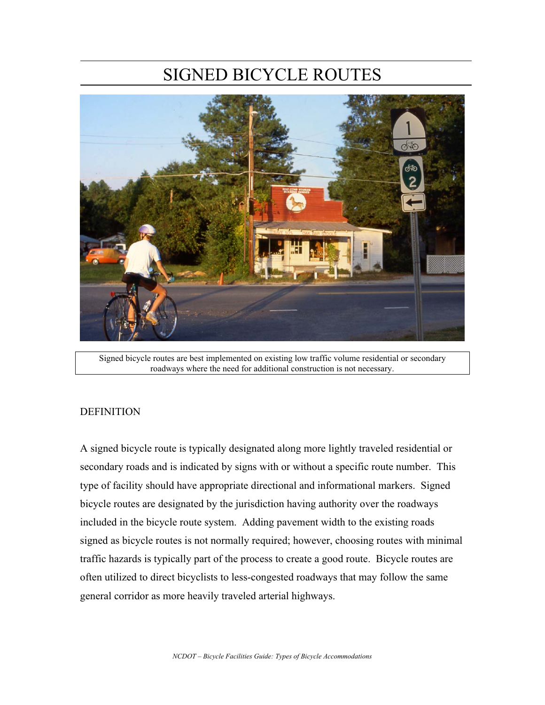# SIGNED BICYCLE ROUTES



Signed bicycle routes are best implemented on existing low traffic volume residential or secondary roadways where the need for additional construction is not necessary.

#### **DEFINITION**

A signed bicycle route is typically designated along more lightly traveled residential or secondary roads and is indicated by signs with or without a specific route number. This type of facility should have appropriate directional and informational markers. Signed bicycle routes are designated by the jurisdiction having authority over the roadways included in the bicycle route system. Adding pavement width to the existing roads signed as bicycle routes is not normally required; however, choosing routes with minimal traffic hazards is typically part of the process to create a good route. Bicycle routes are often utilized to direct bicyclists to less-congested roadways that may follow the same general corridor as more heavily traveled arterial highways.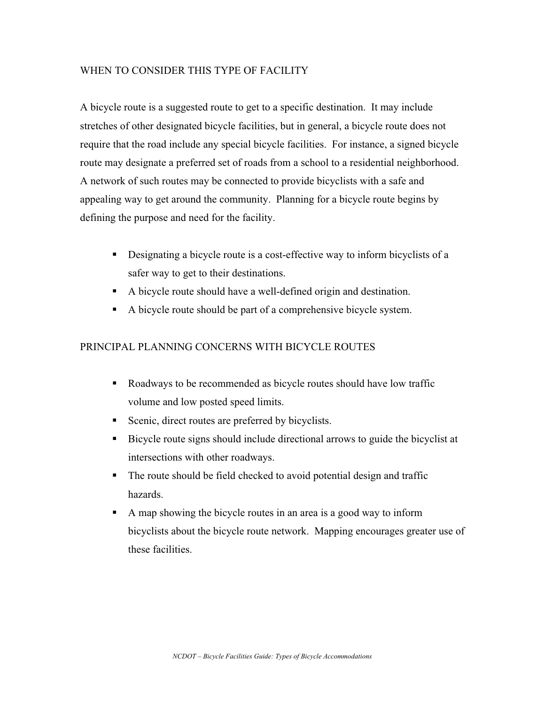# WHEN TO CONSIDER THIS TYPE OF FACILITY

A bicycle route is a suggested route to get to a specific destination. It may include stretches of other designated bicycle facilities, but in general, a bicycle route does not require that the road include any special bicycle facilities. For instance, a signed bicycle route may designate a preferred set of roads from a school to a residential neighborhood. A network of such routes may be connected to provide bicyclists with a safe and appealing way to get around the community. Planning for a bicycle route begins by defining the purpose and need for the facility.

- Designating a bicycle route is a cost-effective way to inform bicyclists of a safer way to get to their destinations.
- A bicycle route should have a well-defined origin and destination.
- A bicycle route should be part of a comprehensive bicycle system.

## PRINCIPAL PLANNING CONCERNS WITH BICYCLE ROUTES

- Roadways to be recommended as bicycle routes should have low traffic volume and low posted speed limits.
- Scenic, direct routes are preferred by bicyclists.
- Bicycle route signs should include directional arrows to guide the bicyclist at intersections with other roadways.
- The route should be field checked to avoid potential design and traffic hazards.
- A map showing the bicycle routes in an area is a good way to inform bicyclists about the bicycle route network. Mapping encourages greater use of these facilities.